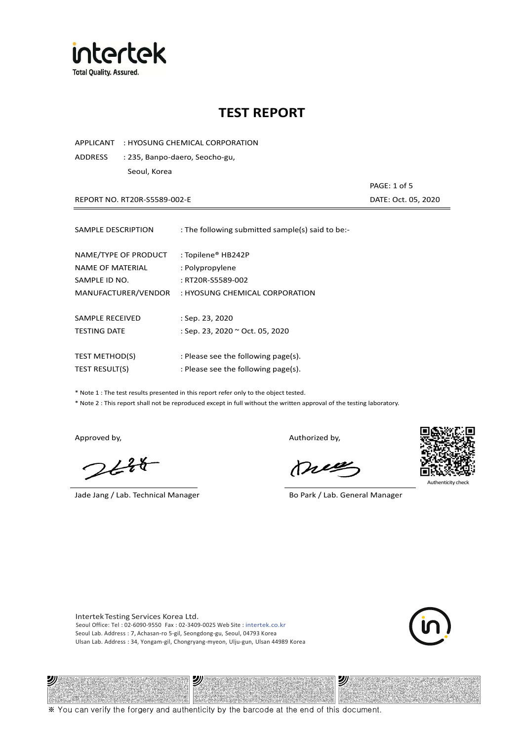

APPLICANT : HYOSUNG CHEMICAL CORPORATION

ADDRESS : 235, Banpo-daero, Seocho-gu, Seoul, Korea

REPORT NO. RT20R-S5589-002-E DATE: Oct. 05, 2020

PAGE: 1 of 5

| SAMPLE DESCRIPTION    | : The following submitted sample(s) said to be:- |
|-----------------------|--------------------------------------------------|
| NAME/TYPE OF PRODUCT  | : Topilene® HB242P                               |
| NAME OF MATERIAL      | : Polypropylene                                  |
| SAMPLE ID NO.         | : RT20R-S5589-002                                |
| MANUFACTURER/VENDOR   | : HYOSUNG CHEMICAL CORPORATION                   |
| SAMPLE RECEIVED       | $:$ Sep. 23, 2020                                |
| <b>TESTING DATE</b>   | : Sep. 23, 2020 ~ Oct. 05, 2020                  |
| <b>TEST METHOD(S)</b> | : Please see the following page(s).              |
| <b>TEST RESULT(S)</b> | : Please see the following page(s).              |

\* Note 1 : The test results presented in this report refer only to the object tested.

\* Note 2 : This report shall not be reproduced except in full without the written approval of the testing laboratory.

沙

 $2648$ 

Jade Jang / Lab. Technical Manager Bo Park / Lab. General Manager

Approved by, and the control of the control of the Authorized by,

Mie



Authenticity ch

沙

Intertek Testing Services Korea Ltd. Seoul Office: Tel : 02-6090-9550 Fax : 02-3409-0025 Web Site : intertek.co.kr Seoul Lab. Address : 7, Achasan-ro 5-gil, Seongdong-gu, Seoul, 04793 Korea Ulsan Lab. Address : 34, Yongam-gil, Chongryang-myeon, Ulju-gun, Ulsan 44989 Korea

ッ

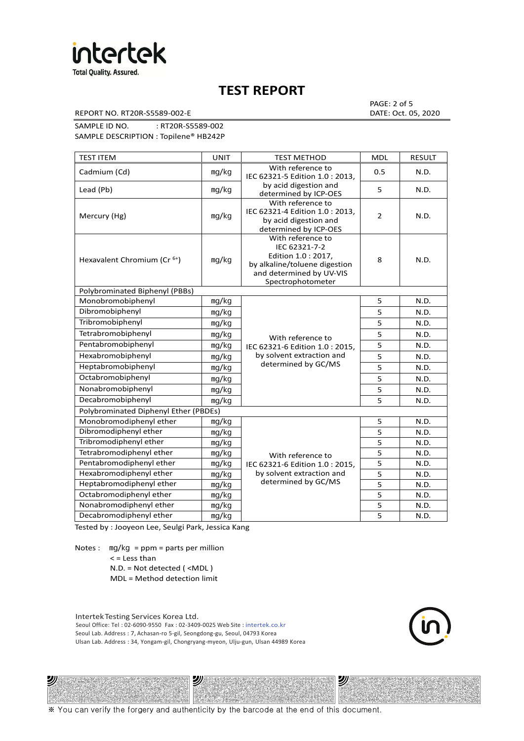

REPORT NO. RT20R-S5589-002-E DATE: Oct. 05, 2020

PAGE: 2 of 5

SAMPLE ID NO. : RT20R-S5589-002 SAMPLE DESCRIPTION : Topilene® HB242P

| <b>TEST ITEM</b>                        | <b>UNIT</b> | <b>TEST METHOD</b>                                                                                                                          | <b>MDL</b>     | <b>RESULT</b> |
|-----------------------------------------|-------------|---------------------------------------------------------------------------------------------------------------------------------------------|----------------|---------------|
| Cadmium (Cd)                            | mg/kg       | With reference to<br>IEC 62321-5 Edition 1.0: 2013.                                                                                         | 0.5            | N.D.          |
| Lead (Pb)                               | mg/kg       | by acid digestion and<br>determined by ICP-OES                                                                                              | 5              | N.D.          |
| Mercury (Hg)                            | mg/kg       | With reference to<br>IEC 62321-4 Edition 1.0 : 2013,<br>by acid digestion and<br>determined by ICP-OES                                      | $\overline{2}$ | N.D.          |
| Hexavalent Chromium (Cr <sup>6+</sup> ) | mg/kg       | With reference to<br>IEC 62321-7-2<br>Edition 1.0 : 2017,<br>by alkaline/toluene digestion<br>and determined by UV-VIS<br>Spectrophotometer | 8              | N.D.          |
| Polybrominated Biphenyl (PBBs)          |             |                                                                                                                                             |                |               |
| Monobromobiphenyl                       | mg/kg       |                                                                                                                                             | 5              | N.D.          |
| Dibromobiphenyl                         | mg/kg       |                                                                                                                                             | 5              | N.D.          |
| Tribromobiphenyl                        | mg/kg       |                                                                                                                                             | 5              | N.D.          |
| Tetrabromobiphenyl                      | mg/kg       | With reference to                                                                                                                           | 5              | N.D.          |
| Pentabromobiphenyl                      | mg/kg       | IEC 62321-6 Edition 1.0: 2015,                                                                                                              | 5              | N.D.          |
| Hexabromobiphenyl                       | mg/kg       | by solvent extraction and                                                                                                                   | 5              | N.D.          |
| Heptabromobiphenyl                      | mg/kg       | determined by GC/MS                                                                                                                         | 5              | N.D.          |
| Octabromobiphenyl                       | mg/kg       |                                                                                                                                             | 5              | N.D.          |
| Nonabromobiphenyl                       | mg/kg       |                                                                                                                                             | 5              | N.D.          |
| Decabromobiphenyl                       | mg/kg       |                                                                                                                                             | 5              | N.D.          |
| Polybrominated Diphenyl Ether (PBDEs)   |             |                                                                                                                                             |                |               |
| Monobromodiphenyl ether                 | mg/kg       |                                                                                                                                             | 5              | N.D.          |
| Dibromodiphenyl ether                   | mg/kg       |                                                                                                                                             | 5              | N.D.          |
| Tribromodiphenyl ether                  | mg/kg       |                                                                                                                                             | 5              | N.D.          |
| Tetrabromodiphenyl ether                | mg/kg       | With reference to                                                                                                                           | 5              | N.D.          |
| Pentabromodiphenyl ether                | mg/kg       | IEC 62321-6 Edition 1.0 : 2015,                                                                                                             | 5              | N.D.          |
| Hexabromodiphenyl ether                 | mg/kg       | by solvent extraction and                                                                                                                   | 5              | N.D.          |
| Heptabromodiphenyl ether                | mg/kg       | determined by GC/MS                                                                                                                         | 5              | N.D.          |
| Octabromodiphenyl ether                 | mg/kg       |                                                                                                                                             | 5              | N.D.          |
| Nonabromodiphenyl ether                 | mg/kg       |                                                                                                                                             | 5              | N.D.          |
| Decabromodiphenyl ether                 | mg/kg       |                                                                                                                                             | 5              | N.D.          |

Tested by : Jooyeon Lee, Seulgi Park, Jessica Kang

Notes : mg/kg = ppm = parts per million  $<$  = Less than

ツル

N.D. = Not detected ( <MDL )

MDL = Method detection limit

Intertek Testing Services Korea Ltd. Seoul Office: Tel : 02-6090-9550 Fax : 02-3409-0025 Web Site : intertek.co.kr Seoul Lab. Address : 7, Achasan-ro 5-gil, Seongdong-gu, Seoul, 04793 Korea Ulsan Lab. Address : 34, Yongam-gil, Chongryang-myeon, Ulju-gun, Ulsan 44989 Korea

沙



沙

※ You can verify the forgery and authenticity by the barcode at the end of this document.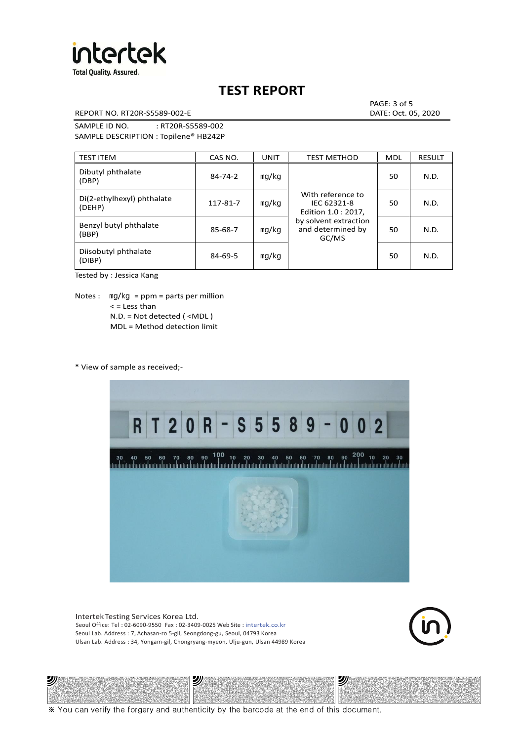

REPORT NO. RT20R-S5589-002-E DATE: Oct. 05, 2020

PAGE: 3 of 5

SAMPLE ID NO. : RT20R-S5589-002 SAMPLE DESCRIPTION : Topilene® HB242P

| <b>TEST ITEM</b>                     | CAS NO.       | <b>UNIT</b> | <b>TEST METHOD</b>                                      | <b>MDL</b> | <b>RESULT</b> |
|--------------------------------------|---------------|-------------|---------------------------------------------------------|------------|---------------|
| Dibutyl phthalate<br>(DBP)           | $84 - 74 - 2$ | mg/kg       | With reference to<br>IEC 62321-8<br>Edition 1.0 : 2017, | 50         | N.D.          |
| Di(2-ethylhexyl) phthalate<br>(DEHP) | 117-81-7      | mg/kg       |                                                         | 50         | N.D.          |
| Benzyl butyl phthalate<br>(BBP)      | 85-68-7       | mg/kg       | by solvent extraction<br>and determined by<br>GC/MS     | 50         | N.D.          |
| Diisobutyl phthalate<br>(DIBP)       | $84 - 69 - 5$ | mg/kg       |                                                         | 50         | N.D.          |

Tested by : Jessica Kang

Notes :  $mq/kg = ppm = parts per million$  $<$  = Less than N.D. = Not detected ( <MDL ) MDL = Method detection limit

\* View of sample as received;-

沙



Intertek Testing Services Korea Ltd. Seoul Office: Tel : 02-6090-9550 Fax : 02-3409-0025 Web Site : intertek.co.kr Seoul Lab. Address : 7, Achasan-ro 5-gil, Seongdong-gu, Seoul, 04793 Korea Ulsan Lab. Address : 34, Yongam-gil, Chongryang-myeon, Ulju-gun, Ulsan 44989 Korea

沙



沙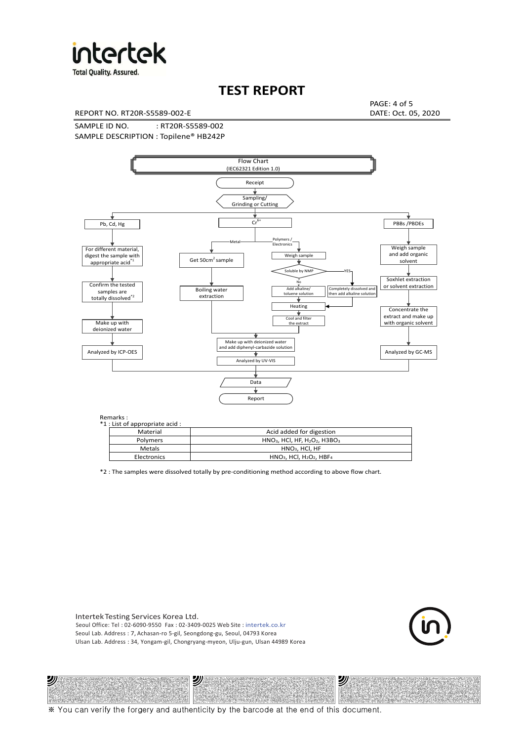

**Total Quality. Assured.** 

## **TEST REPORT**

REPORT NO. RT20R-S5589-002-E DATE: Oct. 05, 2020

PAGE: 4 of 5

SAMPLE ID NO. : RT20R-S5589-002 SAMPLE DESCRIPTION : Topilene® HB242P



| *1 : List of appropriate acid : |                                                                     |
|---------------------------------|---------------------------------------------------------------------|
| Material                        | Acid added for digestion                                            |
| <b>Polymers</b>                 | $HNO3$ , HCl, HF, H <sub>2</sub> O <sub>2</sub> , H3BO <sub>3</sub> |
| Metals                          | $HNO3$ , HCl, HF                                                    |
| Electronics                     | $HNO3$ , HCl, H <sub>2</sub> O <sub>2</sub> , HBF <sub>4</sub>      |

\*2 : The samples were dissolved totally by pre-conditioning method according to above flow chart.

Intertek Testing Services Korea Ltd. Seoul Office: Tel : 02-6090-9550 Fax : 02-3409-0025 Web Site : intertek.co.kr Seoul Lab. Address : 7, Achasan-ro 5-gil, Seongdong-gu, Seoul, 04793 Korea Ulsan Lab. Address : 34, Yongam-gil, Chongryang-myeon, Ulju-gun, Ulsan 44989 Korea

沙

沙



沙